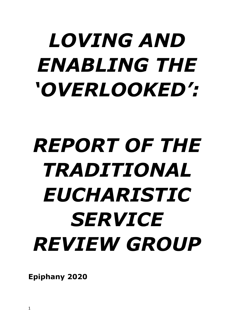# *LOVING AND ENABLING THE 'OVERLOOKED':*

# *REPORT OF THE TRADITIONAL EUCHARISTIC SERVICE REVIEW GROUP*

**Epiphany 2020**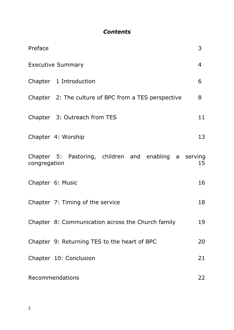## *Contents*

| Preface                                                               | 3  |
|-----------------------------------------------------------------------|----|
| <b>Executive Summary</b>                                              | 4  |
| Chapter 1 Introduction                                                | 6  |
| Chapter 2: The culture of BPC from a TES perspective                  | 8  |
| Chapter 3: Outreach from TES                                          | 11 |
| Chapter 4: Worship                                                    | 13 |
| Chapter 5: Pastoring, children and enabling a serving<br>congregation | 15 |
| Chapter 6: Music                                                      | 16 |
| Chapter 7: Timing of the service                                      | 18 |
| Chapter 8: Communication across the Church family                     | 19 |
| Chapter 9: Returning TES to the heart of BPC                          | 20 |
| Chapter 10: Conclusion                                                | 21 |
| Recommendations                                                       | 22 |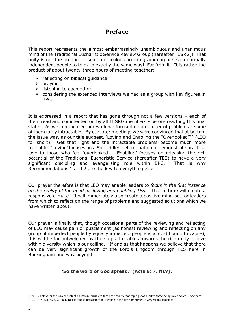## **Preface**

This report represents the almost embarrassingly unambiguous and unanimous mind of the Traditional Eucharistic Service Review Group (hereafter TESRG)! That unity is not the product of some miraculous pre-programming of seven normally independent people to think in exactly the same way! Far from it. It is rather the product of about twenty-three hours of meeting together:

- $\triangleright$  reflecting on biblical guidance
- ➢ praying
- $\triangleright$  listening to each other
- $\triangleright$  considering the extended interviews we had as a group with key figures in BPC.

It is expressed in a report that has gone through not a few versions – each of them read and commented on by all TESRG members - before reaching this final state. As we commenced our work we focused on a number of problems - some of them fairly intractable. By our later meetings we were convinced that at bottom the issue was, as our title suggest, 'Loving and Enabling the "Overlooked"<sup>1</sup> (LEO for short). Get that right and the intractable problems become much more tractable. 'Loving' focuses on a Spirit-filled determination to demonstrate practical love to those who feel 'overlooked'. 'Enabling' focuses on releasing the rich potential of the Traditional Eucharistic Service (hereafter TES) to have a very significant discipling and evangelising role within BPC. That is why Recommendations 1 and 2 are the key to everything else.

Our prayer therefore is that LEO may enable leaders to *focus in the first instance on the reality of the need for loving and enabling TES.* That in time will create a responsive climate. It will immediately also create a positive mind-set for leaders from which to reflect on the range of problems and suggested solutions which we have written about.

Our prayer is finally that, though occasional parts of the reviewing and reflecting of LEO may cause pain or puzzlement (as honest reviewing and reflecting on any group of imperfect people by equally imperfect people is almost bound to cause), this will be far outweighed by the steps it enables towards the rich unity of love within diversity which is our calling. If and as that happens we believe that there can be very significant growth of the Lord's kingdom through TES here in Buckingham and way beyond.

#### **'So the word of God spread.' (Acts 6: 7, NIV).**

<sup>&</sup>lt;sup>1</sup> See 1.2 below for the way the infant church in Jerusalem faced the reality that rapid growth led to some being 'overlooked'. See paras 1.2, 2.1-2.4, 5.1, 6.2a, 7.1, 8.1, 10.1 for the expression of this feeling in the TES sometimes in very strong language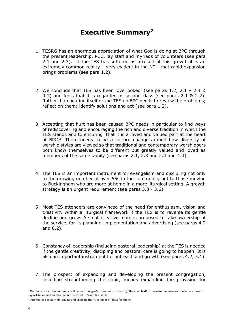## **Executive Summary<sup>2</sup>**

- 1. TESRG has an enormous appreciation of what God is doing at BPC through the present leadership, PCC, lay staff and myriads of volunteers (see para 2.1 and 2.3). If the TES has suffered as a result of this growth it is an extremely common reality – very evident in the NT - that rapid expansion brings problems (see para 1.2).
- 2. We conclude that TES has been 'overlooked' (see paras 1.2, 2.1 2.4 & 9.1) and feels that it is regarded as second-class (see paras 2.1 & 2.2). Rather than beating itself or the TES up BPC needs to review the problems; reflect on them; identify solutions and act (see para 1.2).
- 3. Accepting that hurt has been caused BPC needs in particular to find ways of rediscovering and encouraging the rich and diverse tradition in which the TES stands and to ensuring that it is a loved and valued part at the heart of BPC.<sup>3</sup> There needs to be a culture change around how diversity of worship styles are viewed so that traditional and contemporary worshippers both know themselves to be different but greatly valued and loved as members of the same family (see paras 2.1, 2.3 and 2.4 and 4.3).
- 4. The TES is an important instrument for evangelism and discipling not only to the growing number of over 55s in the community but to those moving to Buckingham who are more at home in a more liturgical setting. A growth strategy is an urgent requirement (see paras 3.3 - 3.6).
- 5. Most TES attenders are convinced of the need for enthusiasm, vision and creativity within a liturgical framework if the TES is to reverse its gentle decline and grow. A small creative team is proposed to take ownership of the service, for its planning, implementation and advertising (see paras 4.2 and 8.2).
- 6. Constancy of leadership (including pastoral leadership) at the TES is needed if the gentle creativity, discipling and pastoral care is going to happen. It is also an important instrument for outreach and growth (see paras 4.2, 5.1).
- 7. The prospect of expanding and developing the present congregation, including strengthening the choir, means expanding the provision for

<sup>2</sup> Our hope is that this Summary will be read *alongside, rather than instead of*, the main text! Otherwise the nuances of what we have to say will be missed and that would be to sell TES and BPC short..

<sup>3</sup> And that led to our title 'Loving and Enabling the "Overlooked"' (LEO for short)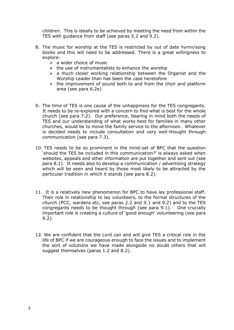children. This is ideally to be achieved by meeting the need from within the TES with guidance from staff (see paras 5.2 and 9.2).

- 8. The music for worship at the TES is restricted by out of date hymn/song books and this will need to be addressed. There is a great willingness to explore:
	- $\geq$  a wider choice of music
	- $\triangleright$  the use of instrumentalists to enhance the worship
	- $\triangleright$  a much closer working relationship between the Organist and the Worship Leader than has been the case heretofore
	- $\triangleright$  the improvement of sound both to and from the choir and platform area (see para 6.2e)
- 9. The time of TES is one cause of the unhappiness for the TES congregants. It needs to be re-explored with a concern to find what is best for the whole church (see para 7.2). Our preference, bearing in mind both the needs of TES and our understanding of what works best for families in many other churches, would be to move the family service to the afternoon. Whatever is decided needs to include consultation and very well-thought through communication (see para 7.3).
- 10. TES needs to be so prominent in the mind-set of BPC that the question 'should the TES be included in this communication?' is always asked when websites, appeals and other information are put together and sent out (see para 8.1). It needs also to develop a communication / advertising strategy which will be seen and heard by those most likely to be attracted by the particular tradition in which it stands (see para 8.2).
- 11. It is a relatively new phenomenon for BPC to have lay professional staff. Their role in relationship to lay volunteers, to the formal structures of the church (PCC, wardens etc, see paras 2.2 and 9.1 and 9.2) and to the TES congregants needs to be thought through (see para 9.1). One crucially important role is creating a culture of 'good enough' volunteering (see para 9.2).
- 12. We are confident that the Lord can and will give TES a critical role in the life of BPC if we are courageous enough to face the issues and to implement the sort of solutions we have made alongside no doubt others that will suggest themselves (paras 1.2 and 8.2).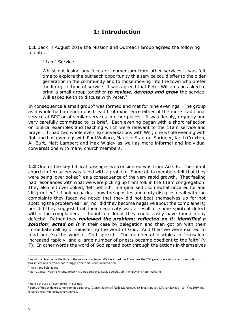## **1: Introduction**

**1.1** Back in August 2019 the Mission and Outreach Group agreed the following minute:

#### 11am<sup>4</sup> Service

Whilst not losing any focus or momentum from other services it was felt time to explore the outreach opportunity this service could offer to the older generation in the community and to those moving into the town who prefer the liturgical type of service. It was agreed that Peter Williams be asked to bring a small group together *to review, develop and grow* the service. Will asked Keith to discuss with Peter.<sup>5</sup>

In consequence a small group<sup>6</sup> was formed and met for nine evenings. The group as a whole had an enormous breadth of experience either of the more traditional service at BPC or of similar services in other places. It was deeply, urgently and very carefully committed to its brief. Each evening began with a short reflection on biblical examples and teaching which were relevant to the 11am service and prayer. It had two whole evening conversations with Will; one whole evening with Rob and half evenings with Paul Wallace, Maurice Stanton-Saringer, Keith Croxton, Ali Burt, Matt Lambert and Max Wigley as well as more informal and individual conversations with many church members.

**1.2** One of the key biblical passages we considered was from Acts 6. The infant church in Jerusalem was faced with a problem. Some of its members felt that they were being 'overlooked'<sup>7</sup> as a consequence of the very rapid growth. That feeling had resonances with what we were picking up from folk in the 11am congregation. They also felt overlooked, 'left behind', 'marginalised', somewhat uncared for and 'disgruntled'.<sup>8</sup> Looking back at how the apostles and early disciples dealt with the complaints they faced we noted that they did not beat themselves up for not spotting the problem earlier; nor did they become negative about the complainers; nor did they suggest that their negativity was a result of some spiritual defect within the complainers – though no doubt they could easily have found many defects! Rather they *reviewed the problem*; *reflected on it*; *identified a solution*; *acted on it* in their case by delegation and then got on with their immediate calling of ministering the word of God. And then we were excited to read and 'so the word of God spread. The number of disciples in Jerusalem increased rapidly, and a large number of priests became obedient to the faith' (v 7). In other words the word of God spread both through the actions in themselves

<sup>4</sup> As will be clear below the time of the service is an issue. We have used the 11am time the TOR gave us as a short-hand description of this service and certainly not to suggest that this is our favoured time

<sup>5</sup> Italics and bold added

<sup>6</sup> Gerry Causer, Valerie Hirons, Brian Hirst, Bob Legrove, David Squibb, Judith Wigley and Peter Williams

<sup>7</sup> Hence the use of 'overlooked' in our title

<sup>8</sup> Some of this evidence came from Bob Legrove, 'Consolidation of feedback received *re* Trial start of 11.00 service at 11.15', Oct 2019 but it comes also from many other sources.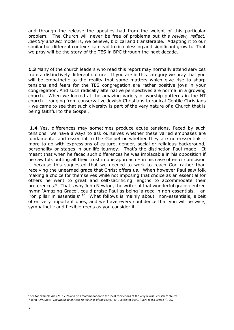and through the release the apostles had from the weight of this particular problem. The Church will never be free of problems but this *review, reflect, identify and act* model is, we believe, biblical and transferable. Adapting it to our similar but different contexts can lead to rich blessing and significant growth. That we pray will be the story of the TES in BPC through the next decade.

**1.3** Many of the church leaders who read this report may normally attend services from a distinctively different culture. If you are in this category we pray that you will be empathetic to the reality that some matters which give rise to sharp tensions and fears for the TES congregation are rather positive joys in your congregation. And such radically alternative perspectives are normal in a growing church. When we looked at the amazing variety of worship patterns in the NT church – ranging from conservative Jewish Christians to radical Gentile Christians - we came to see that such diversity is part of the very nature of a Church that is being faithful to the Gospel.

**1.4** Yes, differences may sometimes produce acute tensions. Faced by such tensions we have always to ask ourselves whether these varied emphases are fundamental and essential to the Gospel or whether they are non-essentials more to do with expressions of culture, gender, social or religious background, personality or stages in our life journey. That's the distinction Paul made. It meant that when he faced such differences he was implacable in his opposition if he saw folk putting all their trust in one approach – in his case often circumcision – because this suggested that we needed to work to reach God rather than receiving the unearned grace that Christ offers us. When however Paul saw folk making a choice for themselves while not imposing that choice as an essential for others he went to great and self-sacrificing lengths to accommodate their preferences. 9 That's why John Newton, the writer of that wonderful grace-centred hymn 'Amazing Grace', could praise Paul as being 'a reed in non-essentials, - an iron pillar in essentials'.<sup>10</sup> What follows is mainly about non-essentials, albeit often very important ones, and we have every confidence that you will be wise, sympathetic and flexible reeds as you consider it.

<sup>9</sup> See for example Acts 21: 17-26 and his accommodation to the local convictions of the very Jewish Jerusalem church <sup>10</sup> John R.W. Stott, The Message of Acts: To the Ends of the Earth, IVP, Leicester 1990, (ISBN: 0 85110 962 4), 257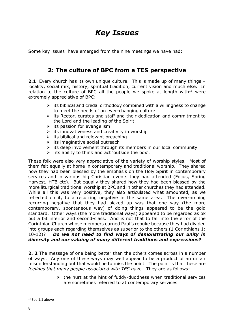## *Key Issues*

Some key issues have emerged from the nine meetings we have had:

## **2: The culture of BPC from a TES perspective**

**2.1** Every church has its own unique culture. This is made up of many things locality, social mix, history, spiritual tradition, current vision and much else. In relation to the culture of BPC all the people we spoke at length with $11$  were extremely appreciative of BPC:

- $\triangleright$  its biblical and credal orthodoxy combined with a willingness to change to meet the needs of an ever-changing culture
- $\triangleright$  its Rector, curates and staff and their dedication and commitment to the Lord and the leading of the Spirit
- $\triangleright$  its passion for evangelism
- $\triangleright$  its innovativeness and creativity in worship
- $\triangleright$  its biblical and relevant preaching
- $\triangleright$  its imaginative social outreach
- $\triangleright$  its deep involvement through its members in our local community
- $\triangleright$  its ability to think and act 'outside the box'.

These folk were also very appreciative of the variety of worship styles. Most of them felt equally at home in contemporary and traditional worship. They shared how they had been blessed by the emphasis on the Holy Spirit in contemporary services and in various big Christian events they had attended (Focus, Spring Harvest, HTB etc). But equally they shared how they had been blessed by the more liturgical traditional worship at BPC and in other churches they had attended. While all this was very positive, they also articulated what amounted, as we reflected on it, to a recurring negative in the same area. The over-arching recurring negative that they had picked up was that one way (the more contemporary, spontaneous way) of doing things appeared to be the gold standard. Other ways (the more traditional ways) appeared to be regarded as ok but a bit inferior and second-class. And is not that to fall into the error of the Corinthian Church whose members earned Paul's rebuke because they had divided into groups each regarding themselves as superior to the others (1 Corinthians 1: 10-12)? *Do we not need to find ways of demonstrating our unity in diversity and our valuing of many different traditions and expressions?*

**2. 2** The message of one being better than the others comes across in a number of ways. Any one of these ways may well appear to be a product of an unfair misunderstanding but that would be to miss the point. The point is that these are *feelings that many people associated with TES have*. They are as follows:

> $\triangleright$  the hurt at the hint of fuddy-duddness when traditional services are sometimes referred to at contemporary services

 $11$  See 1.1 above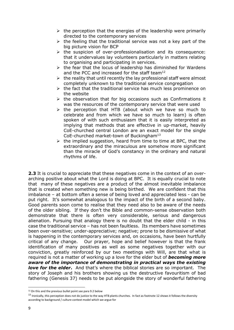- $\triangleright$  the perception that the energies of the leadership were primarily directed to the contemporary services
- $\triangleright$  the feeling that the traditional service was not a key part of the big picture vision for BCP
- ➢ the suspicion of over-professionalisation and its consequence: that it undervalues lay volunteers particularly in matters relating to organising and participating in services.
- $\triangleright$  the fear that the locus of leadership has diminished for Wardens and the PCC and increased for the staff team $^{12}$
- $\triangleright$  the reality that until recently the lay professional staff were almost completely unknown to the traditional service congregation
- $\triangleright$  the fact that the traditional service has much less prominence on the website
- $\triangleright$  the observation that for big occasions such as Confirmations it was the resources of the contemporary service that were used
- $\triangleright$  the perception that HTB (about which we have so much to celebrate and from which we have so much to learn) is often spoken of with such enthusiasm that it is easily interpreted as implying that methods that are effective in up-market, heavily CoE-churched central London are an exact model for the single CoE-churched market-town of Buckingham<sup>13</sup>
- $\triangleright$  the implied suggestion, heard from time to time at BPC, that the extraordinary and the miraculous are somehow more significant than the miracle of God's constancy in the ordinary and natural rhythms of life.

**2.3** It is crucial to appreciate that these negatives come in the context of an overarching positive about what the Lord is doing at BPC. It is equally crucial to note that many of these negatives are a product of the almost inevitable imbalance that is created when something new is being birthed. We are confident that this imbalance – at bottom often a sense of being loved and appreciated less - can be put right. It's somewhat analogous to the impact of the birth of a second baby. Good parents soon come to realise that they need also to be aware of the needs of the older sibling. If they don't the Bible and common-sense observation both demonstrate that there is often very considerable, serious and dangerous alienation. Pursuing that analogy there is no doubt that the elder child - in this case the traditional service – has not been faultless. Its members have sometimes been over-sensitive; under-appreciative; negative; prone to be dismissive of what is happening in the contemporary services and, on occasions, have been hurtfully critical of any change. Our prayer, hope and belief however is that the frank identification of many positives as well as some negatives together with our conviction, greatly reinforced by our two meetings with Will, are that what is required is not a matter of working up a love for the elder but of *becoming more aware of the importance of demonstrating in practical ways the existing love for the elder*. And that's where the biblical stories are so important. The story of Joseph and his brothers showing us the destructive favouritism of bad fathering (Genesis 37) needs to be put alongside the story of wonderful fathering

<sup>&</sup>lt;sup>12</sup> On this and the previous bullet point see para 9.2 below

<sup>&</sup>lt;sup>13</sup> Ironically, this perception does not do justice to the way HTB plants churches. In fact as footnote 12 shows it follows the diversity according to background / culture context model which we argue for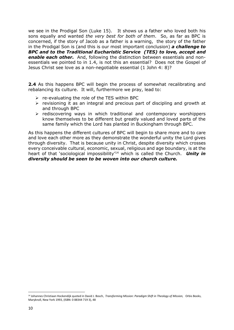we see in the Prodigal Son (Luke 15). It shows us a father who loved both his sons equally and wanted *the very best for both of them*. So, as far as BPC is concerned, if the story of Jacob as a father is a warning, the story of the father in the Prodigal Son is (and this is our most important conclusion) *a challenge to BPC and to the Traditional Eucharistic Service (TES) to love, accept and enable each other.* And, following the distinction between essentials and nonessentials we pointed to in 1.4, is not this an essential? Does not the Gospel of Jesus Christ see love as a non-negotiable essential (1 John 4: 8)?

**2.4** As this happens BPC will begin the process of somewhat recalibrating and rebalancing its culture. It will, furthermore we pray, lead to:

- $\triangleright$  re-evaluating the role of the TES within BPC
- $\triangleright$  revisioning it as an integral and precious part of discipling and growth at and through BPC
- ➢ rediscovering ways in which traditional and contemporary worshippers know themselves to be different but greatly valued and loved parts of the same family which the Lord has planted in Buckingham through BPC.

As this happens the different cultures of BPC will begin to share more and to care and love each other more as they demonstrate the wonderful unity the Lord gives through diversity. That is because unity in Christ, despite diversity which crosses every conceivable cultural, economic, sexual, religious and age boundary, is at the heart of that 'sociological impossibility'<sup>14</sup> which is called the Church. *Unity in diversity should be seen to be woven into our church culture.*

<sup>14</sup> Johannes Christiaan Hockendijk quoted in David J. Bosch, *Transforming Mission: Paradigm Shift in Theology of Mission,* Orbis Books, Maryknoll, New York 1993, (ISBN: 0 88344 719 3), 48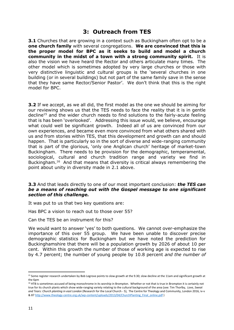## **3: Outreach from TES**

**3.1** Churches that are growing in a context such as Buckingham often opt to be a **one church family** with several congregations. **We are convinced that this is the proper model for BPC as it seeks to build and model a church community in the midst of a town with a strong community spirit.** It is also the vision we have heard the Rector and others articulate many times. The other model which is sometimes adopted by very large churches or those with very distinctive linguistic and cultural groups is the 'several churches in one building (or in several buildings) but not part of the same family save in the sense that they have same Rector/Senior Pastor'. We don't think that this is the right model for BPC.

**3.2** If we accept, as we all did, the first model as the one we should be aiming for our reviewing shows us that the TES needs to face the reality that it is in gentle decline<sup>15</sup> and the wider church needs to find solutions to the fairly-acute feeling that is has been 'overlooked'. Addressing this issue would, we believe, encourage what could well be significant growth. Indeed all of us are convinced from our own experiences, and became even more convinced from what others shared with us and from stories within TES, that this development and growth can and should happen. That is particularly so in the sort of diverse and wide-ranging community that is part of the glorious, 'only one Anglican church' heritage of market-town Buckingham. There needs to be provision for the demographic, temperamental, sociological, cultural and church tradition range and variety we find in Buckingham.<sup>16</sup> And that means that diversity is critical always remembering the point about unity in diversity made in 2.1 above.

#### **3.3** And that leads directly to one of our most important conclusion: *the TES can be a means of reaching out with the Gospel message to one significant section of this challenge.*

It was put to us that two key questions are:

Has BPC a vision to reach out to those over 55?

Can the TES be an instrument for this?

We would want to answer 'yes' to both questions. We cannot over-emphasize the importance of this over 55 group. We have been unable to discover precise demographic statistics for Buckingham but we have noted the prediction for Buckinghamshire that there will be a population growth by 2026 of about 10 per cent. Within this growth the number of those of working age is expected to rise by 4.7 percent; the number of young people by 10.8 percent *and the number of* 

<sup>&</sup>lt;sup>15</sup> Some register research undertaken by Bob Legrove points to slow growth at the 9.30; slow decline at the 11am and significant growth at the 6pm

<sup>&</sup>lt;sup>16</sup> HTB is sometimes accused of being monochrome in its worship in Brompton. Whether or not that is true in Brompton it is certainly not true for its church plants which show wide-ranging variety relating to the cultural background of the area (see: Tim Thorlby, *Love, Sweat*  and Tears: Church planting in east London (Research for the Local Church - 5), The Centre for Theology and Community, London 2016, iv-v & 87 [http://www.theology-centre.org.uk/wp-content/uploads/2013/04/ChurchPlanting\\_Final\\_online.pdf](http://www.theology-centre.org.uk/wp-content/uploads/2013/04/ChurchPlanting_Final_online.pdf) )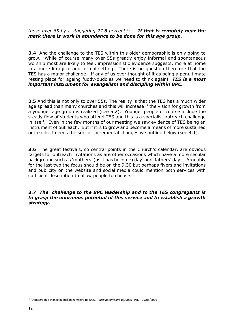#### *those over 65 by a staggering 27.8 percent*. 17 *If that is remotely near the mark there is work in abundance to be done for this age group.*

**3.4** And the challenge to the TES within this older demographic is only going to grow. While of course many over 55s greatly enjoy informal and spontaneous worship most are likely to feel, impressionistic evidence suggests, more at home in a more liturgical and formal setting. There is no question therefore that the TES has a major challenge. If any of us ever thought of it as being a penultimate resting place for ageing fuddy-duddies we need to think again! *TES is a most important instrument for evangelism and discipling within BPC.*

**3.5** And this is not only to over 55s. The reality is that the TES has a much wider age spread than many churches and this will increase if the vision for growth from a younger age group is realized (see 5.2). Younger people of course include the steady flow of students who attend TES and this is a specialist outreach challenge in itself. Even in the few months of our meeting we saw evidence of TES being an instrument of outreach. But if it is to grow and become a means of more sustained outreach, it needs the sort of incremental changes we outline below (see 4.1).

**3.6** The great festivals, so central points in the Church's calendar, are obvious targets for outreach invitations as are other occasions which have a more secular background such as 'mothers' (as it has become) day' and 'fathers' day'. Arguably for the last two the focus should be on the 9.30 but perhaps flyers and invitations and publicity on the website and social media could mention both services with sufficient description to allow people to choose.

**3.7** *The challenge to the BPC leadership and to the TES congregants is to grasp the enormous potential of this service and to establish a growth strategy.*

<sup>17</sup> 'Demographic change in Buckinghamshire to 2026,' *Buckinghamshire Business First,* 25/05/2016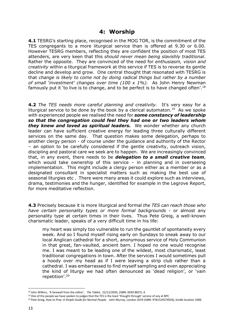## **4: Worship**

**4.1** TESRG's starting place, recognised in the MOG TOR, is the commitment of the TES congregants to a more liturgical service than is offered at 9.30 or 6.00. However TESRG members, reflecting they are confident the position of most TES attenders, are very keen that this *should never mean being slavishly traditional*. Rather the opposite. They are convinced of the need for *enthusiasm, vision and creativity* within a liturgical framework at this service if TES is to reverse its gentle decline and develop and grow. One central thought that resonated with TESRG is that *change is likely to come not by doing radical things but rather by a number of small 'investment' changes over time (100 x 1%).* As John Henry Newman famously put it 'to live is to change, and to be perfect is to have changed often'.<sup>18</sup>

**4.2** *The TES needs more careful planning and creativity.* It's very easy for a liturgical service to be done by the book by a clerical automaton.<sup>19</sup> As we spoke with experienced people we realised the need for *some constancy of leadership so that the congregation could feel they had one or two leaders whom they knew and loved as spiritual leaders.* We wonder whether any church leader can have sufficient creative energy for leading three culturally different services on the same day. That question makes some delegation, perhaps to another clergy person - of course under the guidance and authority of the Rector – an option to be carefully considered if the gentle creativity, outreach vision, discipling and pastoral care we seek are to happen. We are increasingly convinced that, in any event, there needs to be *delegation to a small creative team*, which would take ownership of this service – in planning and in overseeing implementation. This might include a clergy person either as a member or as a designated consultant in specialist matters such as making the best use of seasonal liturgies etc . There were many areas it could explore such as interviews, drama, testimonies and the hunger, identified for example in the Legrove Report, for more meditative reflection.

**4.3** Precisely because it is more liturgical and formal *the TES can reach those who have certain personality types or more formal backgrounds* - or almost any personality type at certain times in their lives. Thus Pete Greig, a well-known charismatic leader, speaks of a very difficult time in his life:

my heart was simply too vulnerable to run the gauntlet of spontaneity every week. And so I found myself rising early on Sundays to sneak away to our local Anglican cathedral for a short, anonymous service of Holy Communion in that great, fan-vaulted, ancient barn. I hoped no one would recognise me. I was meant to be leading one of the wildest, most charismatic, least traditional congregations in town. After the services I would sometimes pull a hoody over my head as if I were leaving a strip club rather than a cathedral. I was embarrassed to find myself sampling and even appreciating the kind of liturgy we had often denounced as 'dead religion', or 'vain repetition'.<sup>20</sup>

<sup>18</sup> John Wilkins, 'A farewell from the editor', *The Tablet,* 22/12/2003, (ISBN: 0039 8837), 4.

<sup>&</sup>lt;sup>19</sup> One of the people we have spoken to judges that the TES is the least 'thought through' service of any at BPC

<sup>20</sup> Pete Greig, *How to Pray: A Simple Guide for Normal People,* John Murray, London 2019 (ISBN: 9781529374926), kindle location 1006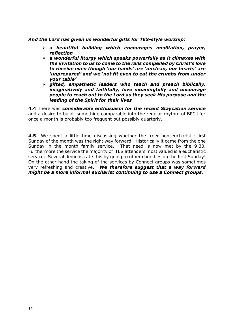#### *And the Lord has given us wonderful gifts for TES-style worship:*

- ➢ *a beautiful building which encourages meditation, prayer, reflection*
- ➢ *a wonderful liturgy which speaks powerfully as it climaxes with the invitation to us to come to the rails compelled by Christ's love to receive even though 'our hands' are 'unclean, our hearts' are 'unprepared' and we 'not fit even to eat the crumbs from under your table'*
- ➢ *gifted, empathetic leaders who teach and preach biblically, imaginatively and faithfully, love meaningfully and encourage people to reach out to the Lord as they seek His purpose and the leading of the Spirit for their lives*

**4.4** There was *considerable enthusiasm for the recent Staycation service* and a desire to build something comparable into the regular rhythm of BPC life: once a month is probably too frequent but possibly quarterly.

**4.5** We spent a little time discussing whether the freer non-eucharistic first Sunday of the month was the right way forward. Historically it came from the one Sunday in the month family service. That need is now met by the 9.30. Furthermore the service the majority of TES attenders most valued is a eucharistic service. Several demonstrate this by going to other churches on the first Sunday! On the other hand the taking of the services by Connect groups was sometimes very refreshing and creative. *We therefore suggest that a way forward might be a more informal eucharist continuing to use a Connect groups.*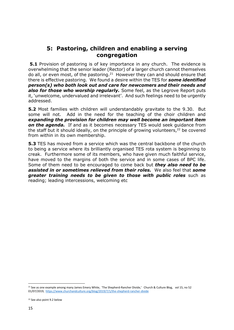## **5: Pastoring, children and enabling a serving congregation**

**5.1** Provision of pastoring is of key importance in any church. The evidence is overwhelming that the senior leader (Rector) of a larger church cannot themselves do all, or even most, of the pastoring. $21$  However they can and should ensure that there is effective pastoring. We found a desire within the TES for *some identified person(s) who both look out and care for newcomers and their needs and also for those who worship regularly.* Some feel, as the Legrove Report puts it, 'unwelcome, undervalued and irrelevant'. And such feelings need to be urgently addressed.

**5.2** Most families with children will understandably gravitate to the 9.30. But some will not. Add in the need for the teaching of the choir children and *expanding the provision for children may well become an important item on the agenda.* If and as it becomes necessary TES would seek guidance from the staff but it should ideally, on the principle of growing volunteers,<sup>22</sup> be covered from within in its own membership.

**5.3** TES has moved from a service which was the central backbone of the church to being a service where its brilliantly organised TES rota system is beginning to creak. Furthermore some of its members, who have given much faithful service, have moved to the margins of both the service and in some cases of BPC life. Some of them need to be encouraged to come back but *they also need to be assisted in or sometimes relieved from their roles.* We also feel that *some greater training needs to be given to those with public roles* such as reading; leading intercessions, welcoming etc

<sup>21</sup> See as one example among many James Emery White, 'The Shepherd-Rancher Divide,'Church & Culture Blog, vol 15, no 52 01/07/2019,<https://www.churchandculture.org/blog/2019/7/1/the-shepherd-rancher-divide>

<sup>22</sup> See also point 9.2 below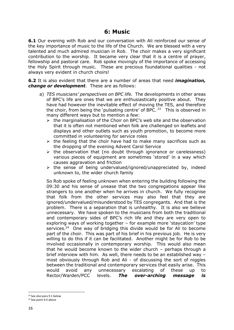## **6: Music**

**6.1** Our evening with Rob and our conversation with Ali reinforced our sense of the key importance of music to the life of the Church. We are blessed with a very talented and much admired musician in Rob. The choir makes a very significant contribution to the worship. It became very clear that it is a centre of prayer, fellowship and pastoral care. Rob spoke movingly of the importance of accessing the Holy Spirit through music. These are precious foundational qualities - not always very evident in church choirs!

**6.2** It is also evident that there are a number of areas that need *imagination, change or development*. These are as follows:

- a) *TES musicians' perspectives on BPC life.* The developments in other areas of BPC's life are ones that we are enthusiastically positive about. They have had however the inevitable effect of moving the TES, and therefore the choir, from being the 'pulsating centre' of BPC.  $23$  This is observed in many different ways but to mention a few:
	- $\triangleright$  the marginalisation of the Choir on BPC's web site and the observation that it is often not mentioned when folk are challenged on leaflets and displays and other outlets such as youth promotion, to become more committed in volunteering for service roles
	- $\triangleright$  the feeling that the choir have had to make many sacrifices such as the dropping of the evening Advent Carol Service
	- ➢ the observation that (no doubt through ignorance or carelessness) various pieces of equipment are sometimes 'stored' in a way which causes aggravation and friction
	- $\triangleright$  the sense of being undervalued/ignored/unappreciated by, indeed unknown to, the wider church family

So Rob spoke of feeling unknown when entering the building following the 09:30 and his sense of unease that the two congregations appear like strangers to one another when he arrives in church. We fully recognise that folk from the other services may also feel that they are ignored/undervalued/misunderstood by TES congregants. And that is the problem. There is a separation that is unhealthy. It is also we believe unnecessary. We have spoken to the musicians from both the traditional and contemporary sides of BPC's rich life and they are very open to exploring ways of working together – for example more 'staycation' type services.<sup>24</sup> One way of bridging this divide would be for Ali to become part of the choir. This was part of his brief in his previous job. He is very willing to do this if it can be facilitated. Another might be for Rob to be involved occasionally in contemporary worship. This would also mean that he would become known to the wider church – perhaps through a brief interview with him. As well, there needs to be an established way – most obviously through Rob and Ali - of discussing the sort of niggles between the traditional and contemporary services that easily arise. This would avoid any unnecessary escalating of these up to Rector/Warden/PCC levels. *The over-arching message is* 

<sup>23</sup> See also para 9.1 below

<sup>24</sup> See point 4.4 above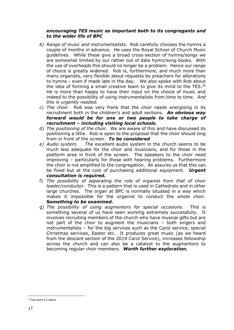#### *encouraging TES music as important both to its congregants and to the wider life of BPC*

- *b) Range of music and instrumentalists.* Rob carefully chooses the hymns a couple of months in advance. He uses the Royal School of Church Music guidelines. While these give a broad cross-section of hymns/songs we are somewhat limited by our rather out of date hymn/song books. With the use of overheads this should no longer be a problem. Hence our range of choice is greatly widened. Rob is, furthermore, and much more than many organists, very flexible about requests by preachers for alterations to hymns - even if made late in the day. We also spoke with Rob about the idea of forming a small creative team to give its mind to the TES. $25$ He is more than happy to have their input on the choice of music and indeed to the possibility of using instrumentalists from time to time. *And this is urgently needed.*
- c) *The choir.* Rob was very frank that the choir needs energising in its recruitment both in the children's and adult sections. *An obvious way forward would be for one or two people to take charge of recruitment – including visiting local schools.*
- d) *The positioning of the choir.* We are aware of this and have discussed its positioning a little. Rob is open to the proposal that the choir should sing from in front of the screen. *To be considered*
- *e) Audio system.* The excellent audio system in the church seems to be much less adequate for the choir and musicians, and for those in the platform area in front of the screen. The speakers to the choir need improving – particularly for those with hearing problems. Furthermore the choir is not amplified to the congregation. Ali assures us that this can be fixed but at the cost of purchasing additional equipment. *Urgent consultation is required.*
- f) *The possibility of separating the role of organist from that of choir leader/conductor.* This is a pattern that is used in Cathedrals and in other large churches. The organ at BPC is normally situated in a way which makes it impossible for the organist to conduct the whole choir. **S***omething to be examined.*
- g) *The possibility of using augmentors for special occasions.* This is something several of us have seen working extremely successfully. It involves recruiting members of the church who have musical gifts but are not part of the choir to augment the musicians – both singers and instrumentalists – for the big services such as the Carol service, special Christmas services, Easter etc. It produces great music (as we heard from the descant section of the 2019 Carol Service), increases fellowship across the church and can also be a catalyst to the augmentors to becoming regular choir members. *Worth further exploration.*

<sup>25</sup> See point 4.2 above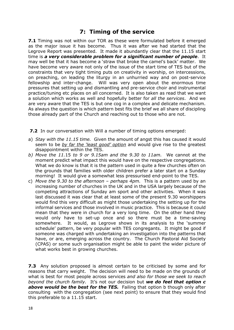## **7: Timing of the service**

**7.1** Timing was not within our TOR as these were formulated before it emerged as the major issue it has become. Thus it was after we had started that the Legrove Report was presented. It made it abundantly clear that the 11.15 start time is *a very considerable problem for a significant number of people*. It may well be that it has become a 'straw that broke the camel's back' matter. We have become very aware not only of the issue of the start time of TES but of the constraints that very tight timing puts on creativity in worship, on intercessions, on preaching, on leading the liturgy in an unhurried way and on post-service fellowship and inter-change. Will was very open about the enormous time pressures that setting up and dismantling and pre-service choir and instrumental practice/tuning etc places on all concerned. It is also taken as read that we want a solution which works as well and hopefully better for *all the services*. And we are very aware that the TES is but one cog in a complex and delicate mechanism. As always the question is which pattern best fits the brief we all share of discipling those already part of the Church and reaching out to those who are not.

**7.2** In our conversation with Will a number of timing options emerged:

- a) *Stay with the 11.15 time.* Given the amount of angst this has caused it would seem to be *by far the 'least good' option* and would give rise to the greatest disappointment within the TES.
- *b) Move the 11.*15 *to 9 or 9.15am and the 9.30 to 11am.* We cannot at the moment predict what impact this would have on the respective congregations. What we do know is that it is the pattern used in quite a few churches often on the grounds that families with older children prefer a later start on a Sunday morning! It would give a somewhat less pressurised end-point to the TES.
- c) *Move the 9.30 to the afternoon – perhaps 4pm.* This is a pattern used by an increasing number of churches in the UK and in the USA largely because of the competing attractions of Sunday am sport and other activities. When it was last discussed it was clear that at least some of the present 9.30 worshippers would find this very difficult as might those undertaking the setting up for the informal services and those involved in music practice. This is because it could mean that they were in church for a very long time. On the other hand they would only have to set-up once and so there must be a time-saving somewhere. It would, as Legrove shows in its analysis to the 'summer schedule' pattern, be very popular with TES congregants. It might be good if someone was charged with undertaking an investigation into the patterns that have, or are, emerging across the country. The Church Pastoral Aid Society (CPAS) or some such organisation might be able to paint the wider picture of what works best in growing churches.

**7.3** Any solution proposed is almost certain to be criticised by some and for reasons that carry weight. The decision will need to be made on the grounds of what is best for most people across services *and also for those we seek to reach beyond the church family.* It's not our decision but *we do feel that option c above would be the best for the TES.* Failing that option b though only after consulting with the congregation (see next point) to ensure that they would find this preferable to a 11.15 start.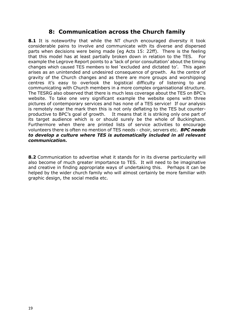## **8: Communication across the Church family**

**8.1** It is noteworthy that while the NT church encouraged diversity it took considerable pains to involve and communicate with its diverse and dispersed parts when decisions were being made (eg Acts 15: 22ff). There is the feeling that this model has at least partially broken down in relation to the TES. For example the Legrove Report points to a 'lack of prior consultation' about the timing changes which caused TES members to feel 'excluded and dictated to'. This again arises as an unintended and undesired consequence of growth. As the centre of gravity of the Church changes and as there are more groups and worshipping centres it's easy to overlook the logistical difficulty of listening to and communicating with Church members in a more complex organisational structure. The TESRG also observed that there is much less coverage about the TES on BPC's website. To take one very significant example the website opens with three pictures of contemporary services and has none of a TES service! If our analysis is remotely near the mark then this is not only deflating to the TES but counterproductive to BPC's goal of growth. It means that it is striking only one part of its target audience which is or should surely be the whole of Buckingham. Furthermore when there are printed lists of service activities to encourage volunteers there is often no mention of TES needs - choir, servers etc. *BPC needs to develop a culture where TES is automatically included in all relevant communication.*

**8.2** Communication to advertise what it stands for in its diverse particularity will also become of much greater importance to TES. It will need to be imaginative and creative in finding appropriate ways of undertaking this. Perhaps it can be helped by the wider church family who will almost certainly be more familiar with graphic design, the social media etc.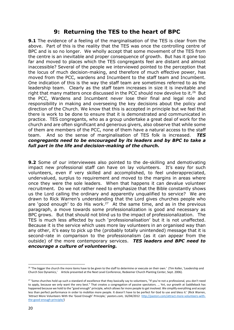## **9: Returning the TES to the heart of BPC**

**9.1** The evidence of a feeling of the marginalisation of the TES is clear from the above. Part of this is the reality that the TES was once the controlling centre of BPC and is so no longer. We wholly accept that some movement of the TES from the centre is an inevitable and proper consequence of growth. But has it gone too far and moved to places which the TES congregants feel are distant and almost inaccessible? Several of the people we interviewed pointed to the perception that the locus of much decision-making, and therefore of much effective power, has moved from the PCC, wardens and Incumbent to the staff team and Incumbent. One indication of this is the way the staff team are sometimes referred to as the leadership team. Clearly as the staff team increases in size it is inevitable and right that many matters once discussed in the PCC should now devolve to it.<sup>26</sup> But the PCC, Wardens and Incumbent never lose their final and legal role and responsibility in making and overseeing the key decisions about the policy and direction of the Church. We know that this is accepted in principle but we feel that there is work to be done to ensure that it is demonstrated and communicated in practice. TES congregants, who as a group undertake a great deal of work for the church and are often significant and generous givers, also observe that while some of them are members of the PCC, none of them have a natural access to the staff team. And so the sense of marginalisation of TES folk is increased. *TES congregants need to be encouraged by its leaders and by BPC to take a full part in the life and decision-making of the church.* 

**9.2** Some of our interviewees also pointed to the de-skilling and demotivating impact new professional staff can have on lay volunteers. It's easy for such volunteers, even if very skilled and accomplished, to feel underappreciated, undervalued, surplus to requirement and moved to the margins in areas where once they were the sole leaders. When that happens it can devalue volunteer recruitment. Do we not rather need to emphasize that the Bible constantly shows us the Lord calling the ordinary and apparently unqualified to service? We are drawn to Rick Warren's understanding that the Lord gives churches people who are 'good enough' to do His work.<sup>27</sup> At the same time, and as in the previous paragraph, a move towards some professionalization is good and necessary as BPC grows. But that should not blind us to the impact of professionalization. The TES is much less affected by such 'professionalisation' but it is not unaffected. Because it is the service which uses more lay volunteers in an organised way than any other, it's easy to pick up the (probably totally unintended) message that it is second-rate in comparison to the professionalism (as it can appear from the outside) of the more contemporary services. *TES leaders and BPC need to encourage a culture of volunteering.* 

<sup>&</sup>lt;sup>26</sup> 'The bigger the church the more items have to be given to the staff to determine or execute on their own.' (Tim Keller, 'Leadership and Church Size Dynamics,' Article presented at the Next Level Conference, Redeemer Church Planting Center, Sept. 2006).

<sup>&</sup>lt;sup>27</sup> 'Some churches hold up such a standard of excellence that they basically say to volunteers, "If you're not a professional, you don't need to apply, because we only want the very best." That creates a congregation of passive spectators. … Yet, our growth at Saddleback has happened because we hold to the "good enough" principle, which allows far more people to get involved. We simplify everything and accept less than perfect performance in order to mobilize more people. It doesn't have to be perfect for God to use and bless it.' (Rick Warren, 'Attract More Volunteers With the 'Good Enough' Principle,' *pastors.com,* 16/04/2012 [http://pastors.com/attract-more-volunteers-with](http://pastors.com/attract-more-volunteers-with-the-good-enough-principle/)[the-good-enough-principle/\)](http://pastors.com/attract-more-volunteers-with-the-good-enough-principle/)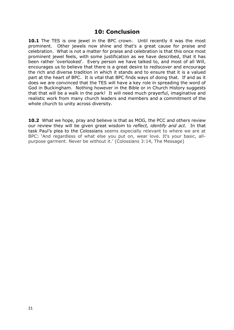## **10: Conclusion**

**10.1** The TES is one jewel in the BPC crown. Until recently it was the most prominent. Other jewels now shine and that's a great cause for praise and celebration. What is not a matter for praise and celebration is that this once most prominent jewel feels, with some justification as we have described, that it has been rather 'overlooked'. Every person we have talked to, and most of all Will, encourages us to believe that there is a great desire to rediscover and encourage the rich and diverse tradition in which it stands and to ensure that it is a valued part at the heart of BPC. It is vital that BPC finds ways of doing that. If and as it does we are convinced that the TES will have a key role in spreading the word of God in Buckingham. Nothing however in the Bible or in Church History suggests that that will be a walk in the park! It will need much prayerful, imaginative and realistic work from many church leaders and members and a commitment of the whole church to unity across diversity.

**10.2** What we hope, pray and believe is that as MOG, the PCC and others review our review they will be given great wisdom to *reflect, identify and act*. In that task Paul's plea to the Colossians seems especially relevant to where we are at BPC: 'And regardless of what else you put on, wear love. It's your basic, allpurpose garment. Never be without it.' (Colossians 3:14, The Message)